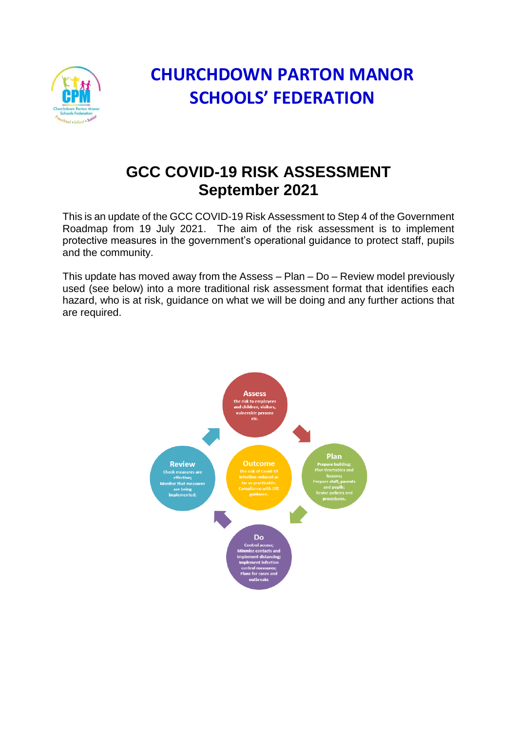

## **CHURCHDOWN PARTON MANOR SCHOOLS' FEDERATION**

## **GCC COVID-19 RISK ASSESSMENT September 2021**

This is an update of the GCC COVID-19 Risk Assessment to Step 4 of the Government Roadmap from 19 July 2021. The aim of the risk assessment is to implement protective measures in the government's operational guidance to protect staff, pupils and the community.

This update has moved away from the Assess – Plan – Do – Review model previously used (see below) into a more traditional risk assessment format that identifies each hazard, who is at risk, guidance on what we will be doing and any further actions that are required.

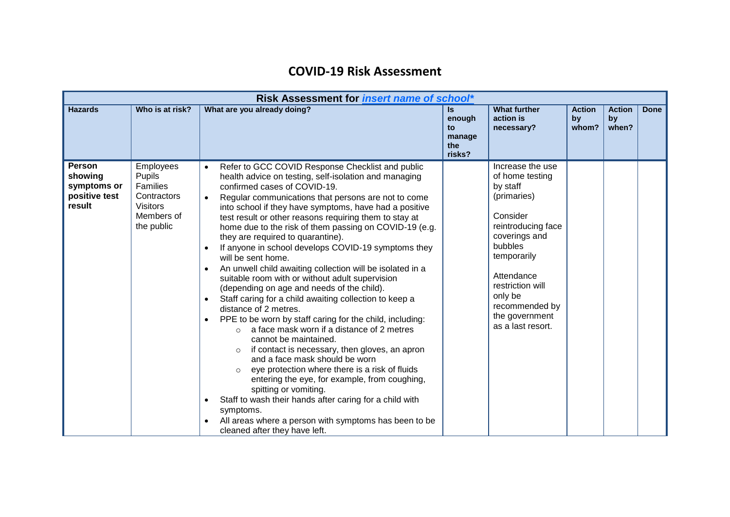## **COVID-19 Risk Assessment**

| Risk Assessment for <i>insert name of school*</i>                  |                                                                                                      |                                                                                                                                                                                                                                                                                                                                                                                                                                                                                                                                                                                                                                                                                                                                                                                                                                                                                                                                                                                                                                                                                                                                                                                                                                                                                                                                                                             |                                                |                                                                                                                                                                                                                                                   |                              |                              |             |
|--------------------------------------------------------------------|------------------------------------------------------------------------------------------------------|-----------------------------------------------------------------------------------------------------------------------------------------------------------------------------------------------------------------------------------------------------------------------------------------------------------------------------------------------------------------------------------------------------------------------------------------------------------------------------------------------------------------------------------------------------------------------------------------------------------------------------------------------------------------------------------------------------------------------------------------------------------------------------------------------------------------------------------------------------------------------------------------------------------------------------------------------------------------------------------------------------------------------------------------------------------------------------------------------------------------------------------------------------------------------------------------------------------------------------------------------------------------------------------------------------------------------------------------------------------------------------|------------------------------------------------|---------------------------------------------------------------------------------------------------------------------------------------------------------------------------------------------------------------------------------------------------|------------------------------|------------------------------|-------------|
| <b>Hazards</b>                                                     | Who is at risk?                                                                                      | What are you already doing?                                                                                                                                                                                                                                                                                                                                                                                                                                                                                                                                                                                                                                                                                                                                                                                                                                                                                                                                                                                                                                                                                                                                                                                                                                                                                                                                                 | ls.<br>enough<br>to<br>manage<br>the<br>risks? | <b>What further</b><br>action is<br>necessary?                                                                                                                                                                                                    | <b>Action</b><br>by<br>whom? | <b>Action</b><br>by<br>when? | <b>Done</b> |
| <b>Person</b><br>showing<br>symptoms or<br>positive test<br>result | <b>Employees</b><br>Pupils<br>Families<br>Contractors<br><b>Visitors</b><br>Members of<br>the public | Refer to GCC COVID Response Checklist and public<br>$\bullet$<br>health advice on testing, self-isolation and managing<br>confirmed cases of COVID-19.<br>Regular communications that persons are not to come<br>into school if they have symptoms, have had a positive<br>test result or other reasons requiring them to stay at<br>home due to the risk of them passing on COVID-19 (e.g.<br>they are required to quarantine).<br>If anyone in school develops COVID-19 symptoms they<br>will be sent home.<br>An unwell child awaiting collection will be isolated in a<br>$\bullet$<br>suitable room with or without adult supervision<br>(depending on age and needs of the child).<br>Staff caring for a child awaiting collection to keep a<br>$\bullet$<br>distance of 2 metres.<br>PPE to be worn by staff caring for the child, including:<br>$\bullet$<br>a face mask worn if a distance of 2 metres<br>$\Omega$<br>cannot be maintained.<br>if contact is necessary, then gloves, an apron<br>$\circ$<br>and a face mask should be worn<br>eye protection where there is a risk of fluids<br>entering the eye, for example, from coughing,<br>spitting or vomiting.<br>Staff to wash their hands after caring for a child with<br>$\bullet$<br>symptoms.<br>All areas where a person with symptoms has been to be<br>$\bullet$<br>cleaned after they have left. |                                                | Increase the use<br>of home testing<br>by staff<br>(primaries)<br>Consider<br>reintroducing face<br>coverings and<br>bubbles<br>temporarily<br>Attendance<br>restriction will<br>only be<br>recommended by<br>the government<br>as a last resort. |                              |                              |             |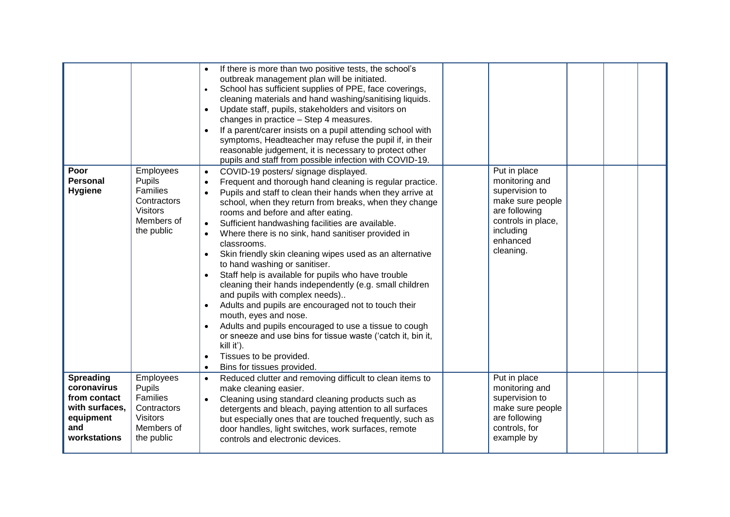|                                                                                                       |                                                                                                      | If there is more than two positive tests, the school's<br>outbreak management plan will be initiated.<br>School has sufficient supplies of PPE, face coverings,<br>$\bullet$<br>cleaning materials and hand washing/sanitising liquids.<br>Update staff, pupils, stakeholders and visitors on<br>$\bullet$<br>changes in practice - Step 4 measures.<br>If a parent/carer insists on a pupil attending school with<br>$\bullet$<br>symptoms, Headteacher may refuse the pupil if, in their<br>reasonable judgement, it is necessary to protect other<br>pupils and staff from possible infection with COVID-19.                                                                                                                                                                                                                                                                                                                                                                                                   |                                                                                                                                                   |  |  |
|-------------------------------------------------------------------------------------------------------|------------------------------------------------------------------------------------------------------|-------------------------------------------------------------------------------------------------------------------------------------------------------------------------------------------------------------------------------------------------------------------------------------------------------------------------------------------------------------------------------------------------------------------------------------------------------------------------------------------------------------------------------------------------------------------------------------------------------------------------------------------------------------------------------------------------------------------------------------------------------------------------------------------------------------------------------------------------------------------------------------------------------------------------------------------------------------------------------------------------------------------|---------------------------------------------------------------------------------------------------------------------------------------------------|--|--|
| Poor<br><b>Personal</b><br><b>Hygiene</b>                                                             | Employees<br>Pupils<br><b>Families</b><br>Contractors<br><b>Visitors</b><br>Members of<br>the public | COVID-19 posters/ signage displayed.<br>Frequent and thorough hand cleaning is regular practice.<br>Pupils and staff to clean their hands when they arrive at<br>school, when they return from breaks, when they change<br>rooms and before and after eating.<br>Sufficient handwashing facilities are available.<br>$\bullet$<br>Where there is no sink, hand sanitiser provided in<br>$\bullet$<br>classrooms.<br>Skin friendly skin cleaning wipes used as an alternative<br>$\bullet$<br>to hand washing or sanitiser.<br>Staff help is available for pupils who have trouble<br>cleaning their hands independently (e.g. small children<br>and pupils with complex needs)<br>Adults and pupils are encouraged not to touch their<br>$\bullet$<br>mouth, eyes and nose.<br>Adults and pupils encouraged to use a tissue to cough<br>$\bullet$<br>or sneeze and use bins for tissue waste ('catch it, bin it,<br>kill it').<br>Tissues to be provided.<br>$\bullet$<br>Bins for tissues provided.<br>$\bullet$ | Put in place<br>monitoring and<br>supervision to<br>make sure people<br>are following<br>controls in place,<br>including<br>enhanced<br>cleaning. |  |  |
| <b>Spreading</b><br>coronavirus<br>from contact<br>with surfaces,<br>equipment<br>and<br>workstations | Employees<br>Pupils<br>Families<br>Contractors<br><b>Visitors</b><br>Members of<br>the public        | Reduced clutter and removing difficult to clean items to<br>$\bullet$<br>make cleaning easier.<br>Cleaning using standard cleaning products such as<br>$\bullet$<br>detergents and bleach, paying attention to all surfaces<br>but especially ones that are touched frequently, such as<br>door handles, light switches, work surfaces, remote<br>controls and electronic devices.                                                                                                                                                                                                                                                                                                                                                                                                                                                                                                                                                                                                                                | Put in place<br>monitoring and<br>supervision to<br>make sure people<br>are following<br>controls, for<br>example by                              |  |  |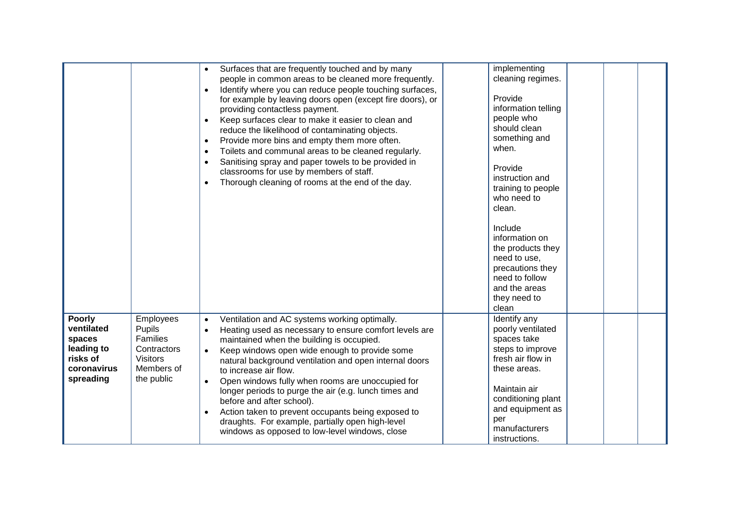|                                                                                             |                                                                                                      | Surfaces that are frequently touched and by many<br>people in common areas to be cleaned more frequently.<br>Identify where you can reduce people touching surfaces,<br>$\bullet$<br>for example by leaving doors open (except fire doors), or<br>providing contactless payment.<br>Keep surfaces clear to make it easier to clean and<br>$\bullet$<br>reduce the likelihood of contaminating objects.<br>Provide more bins and empty them more often.<br>$\bullet$<br>Toilets and communal areas to be cleaned regularly.<br>$\bullet$<br>Sanitising spray and paper towels to be provided in<br>$\bullet$<br>classrooms for use by members of staff.<br>Thorough cleaning of rooms at the end of the day.<br>$\bullet$ | implementing<br>cleaning regimes.<br>Provide<br>information telling<br>people who<br>should clean<br>something and<br>when.<br>Provide<br>instruction and<br>training to people<br>who need to<br>clean.<br>Include<br>information on<br>the products they<br>need to use,<br>precautions they<br>need to follow<br>and the areas<br>they need to<br>clean |
|---------------------------------------------------------------------------------------------|------------------------------------------------------------------------------------------------------|--------------------------------------------------------------------------------------------------------------------------------------------------------------------------------------------------------------------------------------------------------------------------------------------------------------------------------------------------------------------------------------------------------------------------------------------------------------------------------------------------------------------------------------------------------------------------------------------------------------------------------------------------------------------------------------------------------------------------|------------------------------------------------------------------------------------------------------------------------------------------------------------------------------------------------------------------------------------------------------------------------------------------------------------------------------------------------------------|
| <b>Poorly</b><br>ventilated<br>spaces<br>leading to<br>risks of<br>coronavirus<br>spreading | <b>Employees</b><br>Pupils<br>Families<br>Contractors<br><b>Visitors</b><br>Members of<br>the public | Ventilation and AC systems working optimally.<br>$\bullet$<br>Heating used as necessary to ensure comfort levels are<br>$\bullet$<br>maintained when the building is occupied.<br>Keep windows open wide enough to provide some<br>$\bullet$<br>natural background ventilation and open internal doors<br>to increase air flow.<br>Open windows fully when rooms are unoccupied for<br>$\bullet$<br>longer periods to purge the air (e.g. lunch times and<br>before and after school).<br>Action taken to prevent occupants being exposed to<br>$\bullet$<br>draughts. For example, partially open high-level<br>windows as opposed to low-level windows, close                                                          | Identify any<br>poorly ventilated<br>spaces take<br>steps to improve<br>fresh air flow in<br>these areas.<br>Maintain air<br>conditioning plant<br>and equipment as<br>per<br>manufacturers<br>instructions.                                                                                                                                               |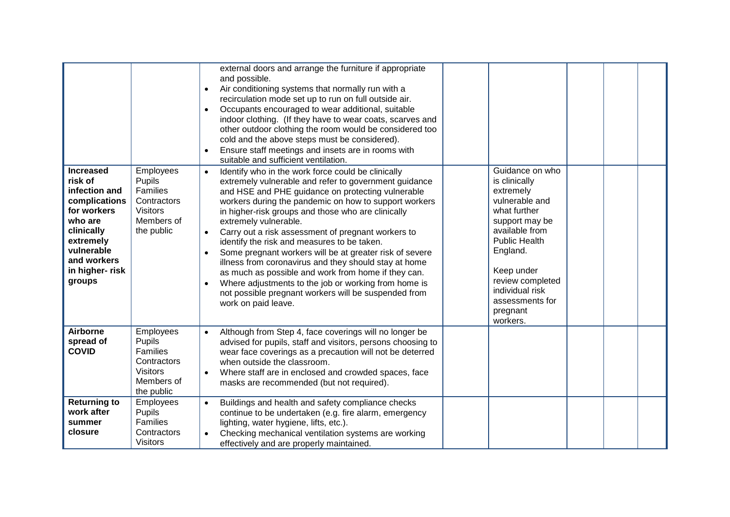| <b>Increased</b><br>risk of<br>infection and<br>complications<br>for workers<br>who are<br>clinically<br>extremely<br>vulnerable<br>and workers<br>in higher-risk<br>groups | Employees<br>Pupils<br>Families<br>Contractors<br><b>Visitors</b><br>Members of<br>the public | external doors and arrange the furniture if appropriate<br>and possible.<br>Air conditioning systems that normally run with a<br>$\bullet$<br>recirculation mode set up to run on full outside air.<br>Occupants encouraged to wear additional, suitable<br>$\bullet$<br>indoor clothing. (If they have to wear coats, scarves and<br>other outdoor clothing the room would be considered too<br>cold and the above steps must be considered).<br>Ensure staff meetings and insets are in rooms with<br>suitable and sufficient ventilation.<br>Identify who in the work force could be clinically<br>$\bullet$<br>extremely vulnerable and refer to government guidance<br>and HSE and PHE guidance on protecting vulnerable<br>workers during the pandemic on how to support workers<br>in higher-risk groups and those who are clinically<br>extremely vulnerable.<br>Carry out a risk assessment of pregnant workers to<br>$\bullet$<br>identify the risk and measures to be taken.<br>Some pregnant workers will be at greater risk of severe<br>$\bullet$<br>illness from coronavirus and they should stay at home<br>as much as possible and work from home if they can.<br>Where adjustments to the job or working from home is<br>not possible pregnant workers will be suspended from<br>work on paid leave. | Guidance on who<br>is clinically<br>extremely<br>vulnerable and<br>what further<br>support may be<br>available from<br><b>Public Health</b><br>England.<br>Keep under<br>review completed<br>individual risk<br>assessments for<br>pregnant |  |  |
|-----------------------------------------------------------------------------------------------------------------------------------------------------------------------------|-----------------------------------------------------------------------------------------------|------------------------------------------------------------------------------------------------------------------------------------------------------------------------------------------------------------------------------------------------------------------------------------------------------------------------------------------------------------------------------------------------------------------------------------------------------------------------------------------------------------------------------------------------------------------------------------------------------------------------------------------------------------------------------------------------------------------------------------------------------------------------------------------------------------------------------------------------------------------------------------------------------------------------------------------------------------------------------------------------------------------------------------------------------------------------------------------------------------------------------------------------------------------------------------------------------------------------------------------------------------------------------------------------------------------------|---------------------------------------------------------------------------------------------------------------------------------------------------------------------------------------------------------------------------------------------|--|--|
|                                                                                                                                                                             |                                                                                               |                                                                                                                                                                                                                                                                                                                                                                                                                                                                                                                                                                                                                                                                                                                                                                                                                                                                                                                                                                                                                                                                                                                                                                                                                                                                                                                        | workers.                                                                                                                                                                                                                                    |  |  |
| <b>Airborne</b><br>spread of<br><b>COVID</b>                                                                                                                                | Employees<br>Pupils<br>Families<br>Contractors<br><b>Visitors</b><br>Members of<br>the public | Although from Step 4, face coverings will no longer be<br>$\bullet$<br>advised for pupils, staff and visitors, persons choosing to<br>wear face coverings as a precaution will not be deterred<br>when outside the classroom.<br>Where staff are in enclosed and crowded spaces, face<br>masks are recommended (but not required).                                                                                                                                                                                                                                                                                                                                                                                                                                                                                                                                                                                                                                                                                                                                                                                                                                                                                                                                                                                     |                                                                                                                                                                                                                                             |  |  |
| <b>Returning to</b><br>work after<br>summer<br>closure                                                                                                                      | Employees<br>Pupils<br>Families<br>Contractors<br><b>Visitors</b>                             | Buildings and health and safety compliance checks<br>$\bullet$<br>continue to be undertaken (e.g. fire alarm, emergency<br>lighting, water hygiene, lifts, etc.).<br>Checking mechanical ventilation systems are working<br>effectively and are properly maintained.                                                                                                                                                                                                                                                                                                                                                                                                                                                                                                                                                                                                                                                                                                                                                                                                                                                                                                                                                                                                                                                   |                                                                                                                                                                                                                                             |  |  |